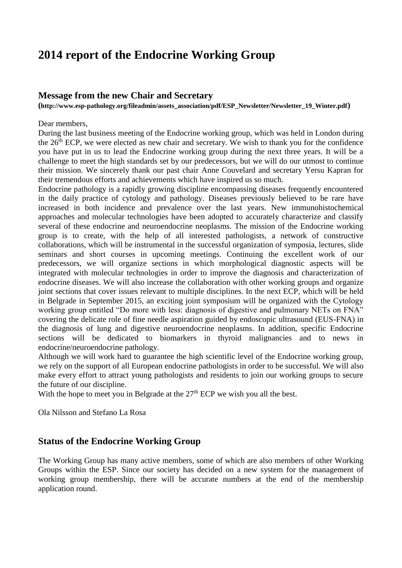# **2014 report of the Endocrine Working Group**

### **Message from the new Chair and Secretary**

**(http://www.esp-pathology.org/fileadmin/assets\_association/pdf/ESP\_Newsletter/Newsletter\_19\_Winter.pdf)**

#### Dear members,

During the last business meeting of the Endocrine working group, which was held in London during the 26<sup>th</sup> ECP, we were elected as new chair and secretary. We wish to thank you for the confidence you have put in us to lead the Endocrine working group during the next three years. It will be a challenge to meet the high standards set by our predecessors, but we will do our utmost to continue their mission. We sincerely thank our past chair Anne Couvelard and secretary Yersu Kapran for their tremendous efforts and achievements which have inspired us so much.

Endocrine pathology is a rapidly growing discipline encompassing diseases frequently encountered in the daily practice of cytology and pathology. Diseases previously believed to be rare have increased in both incidence and prevalence over the last years. New immunohistochemical approaches and molecular technologies have been adopted to accurately characterize and classify several of these endocrine and neuroendocrine neoplasms. The mission of the Endocrine working group is to create, with the help of all interested pathologists, a network of constructive collaborations, which will be instrumental in the successful organization of symposia, lectures, slide seminars and short courses in upcoming meetings. Continuing the excellent work of our predecessors, we will organize sections in which morphological diagnostic aspects will be integrated with molecular technologies in order to improve the diagnosis and characterization of endocrine diseases. We will also increase the collaboration with other working groups and organize joint sections that cover issues relevant to multiple disciplines. In the next ECP, which will be held in Belgrade in September 2015, an exciting joint symposium will be organized with the Cytology working group entitled "Do more with less: diagnosis of digestive and pulmonary NETs on FNA" covering the delicate role of fine needle aspiration guided by endoscopic ultrasound (EUS-FNA) in the diagnosis of lung and digestive neuroendocrine neoplasms. In addition, specific Endocrine sections will be dedicated to biomarkers in thyroid malignancies and to news in endocrine/neuroendocrine pathology.

Although we will work hard to guarantee the high scientific level of the Endocrine working group, we rely on the support of all European endocrine pathologists in order to be successful. We will also make every effort to attract young pathologists and residents to join our working groups to secure the future of our discipline.

With the hope to meet you in Belgrade at the 27<sup>th</sup> ECP we wish you all the best.

Ola Nilsson and Stefano La Rosa

## **Status of the Endocrine Working Group**

The Working Group has many active members, some of which are also members of other Working Groups within the ESP. Since our society has decided on a new system for the management of working group membership, there will be accurate numbers at the end of the membership application round.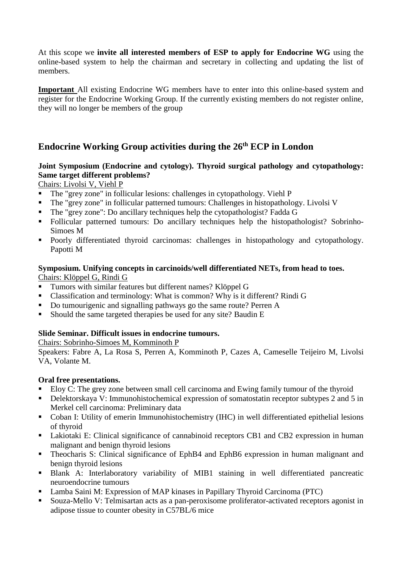At this scope we **invite all interested members of ESP to apply for Endocrine WG** using the online-based system to help the chairman and secretary in collecting and updating the list of members.

**Important** All existing Endocrine WG members have to enter into this online-based system and register for the Endocrine Working Group. If the currently existing members do not register online, they will no longer be members of the group

# **Endocrine Working Group activities during the 26th ECP in London**

## **Joint Symposium (Endocrine and cytology). Thyroid surgical pathology and cytopathology: Same target different problems?**

Chairs: Livolsi V, Viehl P

- The "grey zone" in follicular lesions: challenges in cytopathology. Viehl P
- The "grey zone" in follicular patterned tumours: Challenges in histopathology. Livolsi V
- The "grey zone": Do ancillary techniques help the cytopathologist? Fadda G
- Follicular patterned tumours: Do ancillary techniques help the histopathologist? Sobrinho-Simoes M
- Poorly differentiated thyroid carcinomas: challenges in histopathology and cytopathology. Papotti M

#### **Symposium. Unifying concepts in carcinoids/well differentiated NETs, from head to toes.** Chairs: Klöppel G, Rindi G

- **Tumors with similar features but different names? Klöppel G**
- Classification and terminology: What is common? Why is it different? Rindi G
- Do tumourigenic and signalling pathways go the same route? Perren A
- Should the same targeted therapies be used for any site? Baudin E

## **Slide Seminar. Difficult issues in endocrine tumours.**

Chairs: Sobrinho-Simoes M, Komminoth P

Speakers: Fabre A, La Rosa S, Perren A, Komminoth P, Cazes A, Cameselle Teijeiro M, Livolsi VA, Volante M.

#### **Oral free presentations.**

- Eloy C: The grey zone between small cell carcinoma and Ewing family tumour of the thyroid
- Delektorskaya V: Immunohistochemical expression of somatostatin receptor subtypes 2 and 5 in Merkel cell carcinoma: Preliminary data
- Coban I: Utility of emerin Immunohistochemistry (IHC) in well differentiated epithelial lesions of thyroid
- Lakiotaki E: Clinical significance of cannabinoid receptors CB1 and CB2 expression in human malignant and benign thyroid lesions
- Theocharis S: Clinical significance of EphB4 and EphB6 expression in human malignant and benign thyroid lesions
- Blank A: Interlaboratory variability of MIB1 staining in well differentiated pancreatic neuroendocrine tumours
- Lamba Saini M: Expression of MAP kinases in Papillary Thyroid Carcinoma (PTC)
- Souza-Mello V: Telmisartan acts as a pan-peroxisome proliferator-activated receptors agonist in adipose tissue to counter obesity in C57BL/6 mice